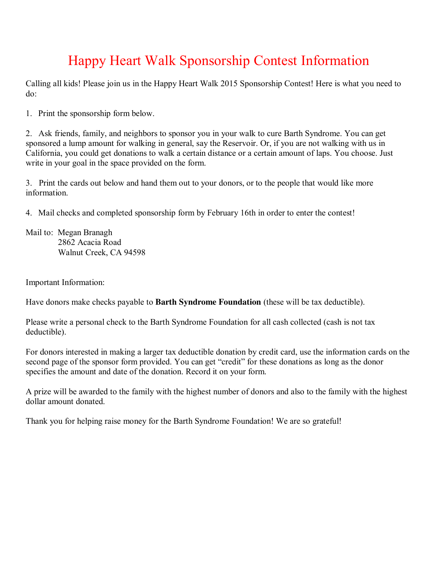## Happy Heart Walk Sponsorship Contest Information

Calling all kids! Please join us in the Happy Heart Walk 2015 Sponsorship Contest! Here is what you need to do:

1. Print the sponsorship form below.

2. Ask friends, family, and neighbors to sponsor you in your walk to cure Barth Syndrome. You can get sponsored a lump amount for walking in general, say the Reservoir. Or, if you are not walking with us in California, you could get donations to walk a certain distance or a certain amount of laps. You choose. Just write in your goal in the space provided on the form.

3. Print the cards out below and hand them out to your donors, or to the people that would like more information.

4. Mail checks and completed sponsorship form by February 16th in order to enter the contest!

Mail to: Megan Branagh 2862 Acacia Road Walnut Creek, CA 94598

Important Information:

Have donors make checks payable to **Barth Syndrome Foundation** (these will be tax deductible).

Please write a personal check to the Barth Syndrome Foundation for all cash collected (cash is not tax deductible).

For donors interested in making a larger tax deductible donation by credit card, use the information cards on the second page of the sponsor form provided. You can get "credit" for these donations as long as the donor specifies the amount and date of the donation. Record it on your form.

A prize will be awarded to the family with the highest number of donors and also to the family with the highest dollar amount donated.

Thank you for helping raise money for the Barth Syndrome Foundation! We are so grateful!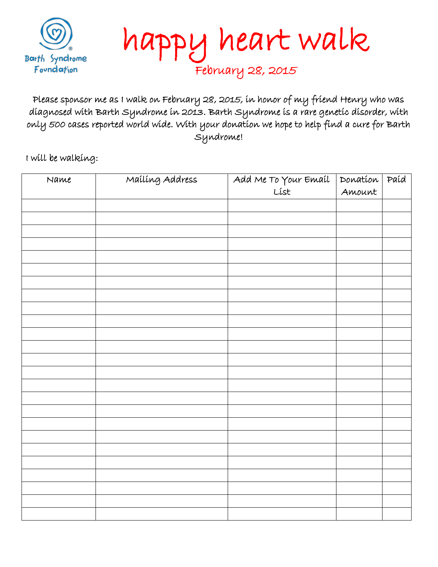

happy heart walk February 28, 2015

Please sponsor me as I walk on February 28, 2015, in honor of my friend Henry who was diagnosed with Barth Syndrome in 2013. Barth Syndrome is a rare genetic disorder, with only 500 cases reported world wide. With your donation we hope to help find a cure for Barth Syndrome!

I will be walking:

| Name | Mailing Address |                      | Donation | Paíd |
|------|-----------------|----------------------|----------|------|
|      |                 | Add Me To Your Email | Amount   |      |
|      |                 |                      |          |      |
|      |                 |                      |          |      |
|      |                 |                      |          |      |
|      |                 |                      |          |      |
|      |                 |                      |          |      |
|      |                 |                      |          |      |
|      |                 |                      |          |      |
|      |                 |                      |          |      |
|      |                 |                      |          |      |
|      |                 |                      |          |      |
|      |                 |                      |          |      |
|      |                 |                      |          |      |
|      |                 |                      |          |      |
|      |                 |                      |          |      |
|      |                 |                      |          |      |
|      |                 |                      |          |      |
|      |                 |                      |          |      |
|      |                 |                      |          |      |
|      |                 |                      |          |      |
|      |                 |                      |          |      |
|      |                 |                      |          |      |
|      |                 |                      |          |      |
|      |                 |                      |          |      |
|      |                 |                      |          |      |
|      |                 |                      |          |      |
|      |                 |                      |          |      |
|      |                 |                      |          |      |